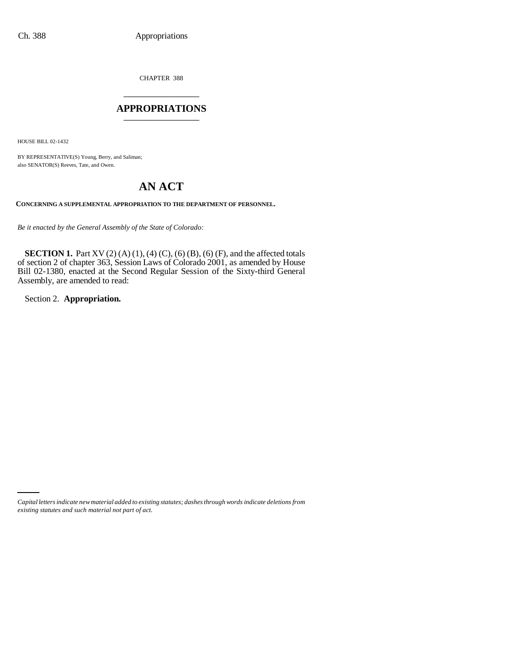CHAPTER 388 \_\_\_\_\_\_\_\_\_\_\_\_\_\_\_

#### **APPROPRIATIONS** \_\_\_\_\_\_\_\_\_\_\_\_\_\_\_

HOUSE BILL 02-1432

BY REPRESENTATIVE(S) Young, Berry, and Saliman; also SENATOR(S) Reeves, Tate, and Owen.

# **AN ACT**

**CONCERNING A SUPPLEMENTAL APPROPRIATION TO THE DEPARTMENT OF PERSONNEL.**

*Be it enacted by the General Assembly of the State of Colorado:*

**SECTION 1.** Part XV (2) (A) (1), (4) (C), (6) (B), (6) (F), and the affected totals of section 2 of chapter 363, Session Laws of Colorado 2001, as amended by House Bill 02-1380, enacted at the Second Regular Session of the Sixty-third General Assembly, are amended to read:

Section 2. **Appropriation.**

*Capital letters indicate new material added to existing statutes; dashes through words indicate deletions from existing statutes and such material not part of act.*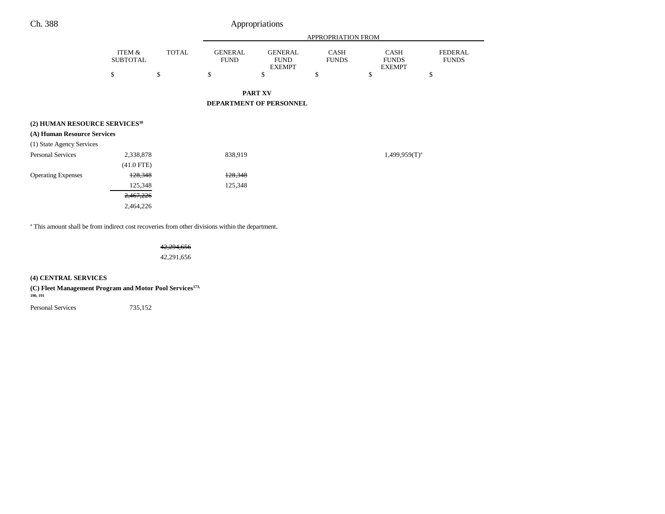# Ch. 388 Appropriations

|                                                                          |                           |              | APPROPRIATION FROM            |                                                |                             |                                              |                                |
|--------------------------------------------------------------------------|---------------------------|--------------|-------------------------------|------------------------------------------------|-----------------------------|----------------------------------------------|--------------------------------|
|                                                                          | ITEM &<br><b>SUBTOTAL</b> | <b>TOTAL</b> | <b>GENERAL</b><br><b>FUND</b> | <b>GENERAL</b><br><b>FUND</b><br><b>EXEMPT</b> | <b>CASH</b><br><b>FUNDS</b> | <b>CASH</b><br><b>FUNDS</b><br><b>EXEMPT</b> | <b>FEDERAL</b><br><b>FUNDS</b> |
|                                                                          | \$                        | \$           | \$                            | \$                                             | \$                          | \$                                           | \$                             |
|                                                                          |                           |              |                               | <b>PART XV</b>                                 |                             |                                              |                                |
|                                                                          |                           |              |                               | DEPARTMENT OF PERSONNEL                        |                             |                                              |                                |
| (2) HUMAN RESOURCE SERVICES <sup>30</sup><br>(A) Human Resource Services |                           |              |                               |                                                |                             |                                              |                                |
| (1) State Agency Services                                                |                           |              |                               |                                                |                             |                                              |                                |
| <b>Personal Services</b>                                                 | 2,338,878                 |              | 838,919                       |                                                |                             | $1,499,959(T)^{a}$                           |                                |
|                                                                          | $(41.0$ FTE)              |              |                               |                                                |                             |                                              |                                |
| <b>Operating Expenses</b>                                                | 128,348                   |              | 128,348                       |                                                |                             |                                              |                                |
|                                                                          | 125,348                   |              | 125,348                       |                                                |                             |                                              |                                |
|                                                                          | 2,467,226                 |              |                               |                                                |                             |                                              |                                |
|                                                                          | 2,464,226                 |              |                               |                                                |                             |                                              |                                |

a This amount shall be from indirect cost recoveries from other divisions within the department.

42,294,656 42,291,656

#### **(4) CENTRAL SERVICES**

**(C) Fleet Management Program and Motor Pool Services173, 190, 191**

Personal Services 735,152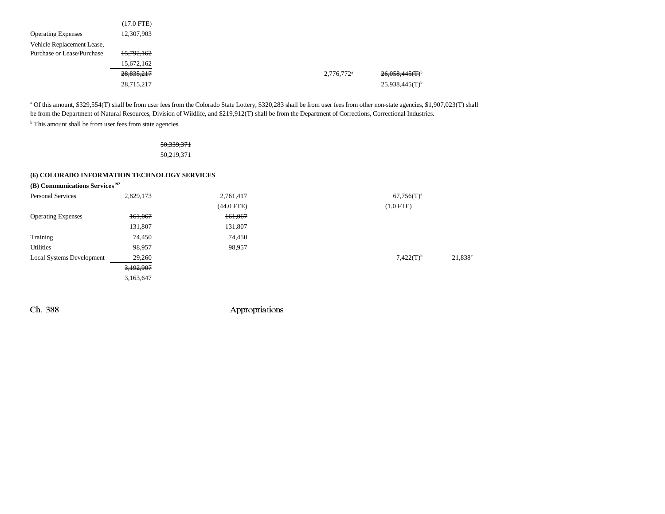|                            | $(17.0$ FTE) |                          |
|----------------------------|--------------|--------------------------|
| <b>Operating Expenses</b>  | 12,307,903   |                          |
| Vehicle Replacement Lease, |              |                          |
| Purchase or Lease/Purchase | 15,792,162   |                          |
|                            | 15,672,162   |                          |
|                            | 28,835,217   | $2,776,772$ <sup>a</sup> |
|                            | 28,715,217   |                          |

a Of this amount, \$329,554(T) shall be from user fees from the Colorado State Lottery, \$320,283 shall be from user fees from other non-state agencies, \$1,907,023(T) shall be from the Department of Natural Resources, Division of Wildlife, and \$219,912(T) shall be from the Department of Corrections, Correctional Industries.

 $^{\rm b}$  This amount shall be from user fees from state agencies.

### 50,339,371 50,219,371

#### **(6) COLORADO INFORMATION TECHNOLOGY SERVICES**

| $(B)$ Communications Services <sup>192</sup> |           |              |                                    |
|----------------------------------------------|-----------|--------------|------------------------------------|
| <b>Personal Services</b>                     | 2,829,173 | 2,761,417    | $67,756(T)^a$                      |
|                                              |           | $(44.0$ FTE) | $(1.0$ FTE)                        |
| <b>Operating Expenses</b>                    | 161,067   | 161,067      |                                    |
|                                              | 131,807   | 131,807      |                                    |
| Training                                     | 74,450    | 74,450       |                                    |
| Utilities                                    | 98,957    | 98,957       |                                    |
| <b>Local Systems Development</b>             | 29,260    |              | $7,422(T)^{b}$<br>$21,838^{\circ}$ |
|                                              | 3,192,907 |              |                                    |
|                                              | 3,163,647 |              |                                    |

Ch. 388 Appropriations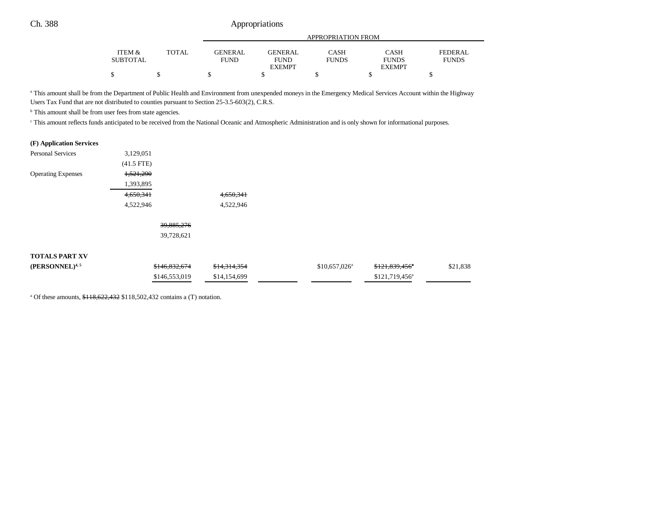## Ch. 388 Appropriations

|                 |       | APPROPRIATION FROM |               |              |               |              |
|-----------------|-------|--------------------|---------------|--------------|---------------|--------------|
|                 |       |                    |               |              |               |              |
| ITEM &          | TOTAL | GENERAL            | GENERAL       | <b>CASH</b>  | CASH          | FEDERAL      |
| <b>SUBTOTAL</b> |       | <b>FUND</b>        | <b>FUND</b>   | <b>FUNDS</b> | <b>FUNDS</b>  | <b>FUNDS</b> |
|                 |       |                    | <b>EXEMPT</b> |              | <b>EXEMPT</b> |              |
| S               |       |                    |               |              |               |              |

<sup>a</sup> This amount shall be from the Department of Public Health and Environment from unexpended moneys in the Emergency Medical Services Account within the Highway Users Tax Fund that are not distributed to counties pursuant to Section 25-3.5-603(2), C.R.S.

<sup>b</sup> This amount shall be from user fees from state agencies.

<sup>c</sup> This amount reflects funds anticipated to be received from the National Oceanic and Atmospheric Administration and is only shown for informational purposes.

#### **(F) Application Services**

| <b>Personal Services</b>  | 3,129,051     |              |                 |                  |          |
|---------------------------|---------------|--------------|-----------------|------------------|----------|
|                           | $(41.5$ FTE)  |              |                 |                  |          |
| <b>Operating Expenses</b> | 1,521,290     |              |                 |                  |          |
|                           | 1,393,895     |              |                 |                  |          |
|                           | 4,650,341     | 4,650,341    |                 |                  |          |
|                           | 4,522,946     | 4,522,946    |                 |                  |          |
|                           | 39,885,276    |              |                 |                  |          |
|                           | 39,728,621    |              |                 |                  |          |
| <b>TOTALS PART XV</b>     |               |              |                 |                  |          |
| $(PERSONNEL)^{4,5}$       | \$146,832,674 | \$14,314,354 | $$10,657,026^a$ | \$121,839,456"   | \$21,838 |
|                           | \$146,553,019 | \$14,154,699 |                 | $$121,719,456^a$ |          |

<sup>a</sup> Of these amounts,  $$118,622,432$  \$118,502,432 contains a (T) notation.